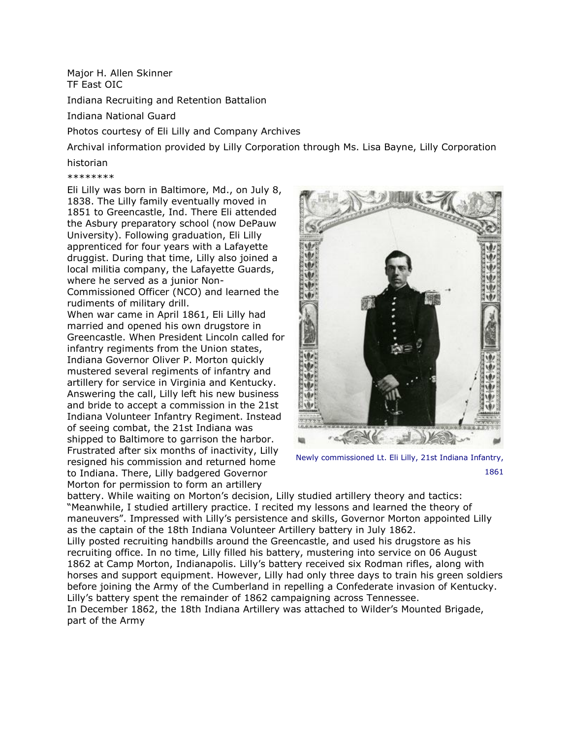Major H. Allen Skinner TF East OIC

Indiana Recruiting and Retention Battalion

Indiana National Guard

Photos courtesy of Eli Lilly and Company Archives

Archival information provided by Lilly Corporation through Ms. Lisa Bayne, Lilly Corporation

historian

\*\*\*\*\*\*\*\*

Eli Lilly was born in Baltimore, Md., on July 8, 1838. The Lilly family eventually moved in 1851 to Greencastle, Ind. There Eli attended the Asbury preparatory school (now DePauw University). Following graduation, Eli Lilly apprenticed for four years with a Lafayette druggist. During that time, Lilly also joined a local militia company, the Lafayette Guards, where he served as a junior Non-Commissioned Officer (NCO) and learned the rudiments of military drill. When war came in April 1861, Eli Lilly had married and opened his own drugstore in Greencastle. When President Lincoln called for infantry regiments from the Union states, Indiana Governor Oliver P. Morton quickly mustered several regiments of infantry and artillery for service in Virginia and Kentucky. Answering the call, Lilly left his new business and bride to accept a commission in the 21st Indiana Volunteer Infantry Regiment. Instead of seeing combat, the 21st Indiana was shipped to Baltimore to garrison the harbor. Frustrated after six months of inactivity, Lilly resigned his commission and returned home to Indiana. There, Lilly badgered Governor Morton for permission to form an artillery



Newly commissioned Lt. Eli Lilly, 21st Indiana Infantry, 1861

battery. While waiting on Morton's decision, Lilly studied artillery theory and tactics: "Meanwhile, I studied artillery practice. I recited my lessons and learned the theory of maneuvers". Impressed with Lilly's persistence and skills, Governor Morton appointed Lilly as the captain of the 18th Indiana Volunteer Artillery battery in July 1862.

Lilly posted recruiting handbills around the Greencastle, and used his drugstore as his recruiting office. In no time, Lilly filled his battery, mustering into service on 06 August 1862 at Camp Morton, Indianapolis. Lilly's battery received six Rodman rifles, along with horses and support equipment. However, Lilly had only three days to train his green soldiers before joining the Army of the Cumberland in repelling a Confederate invasion of Kentucky. Lilly's battery spent the remainder of 1862 campaigning across Tennessee.

In December 1862, the 18th Indiana Artillery was attached to Wilder's Mounted Brigade, part of the Army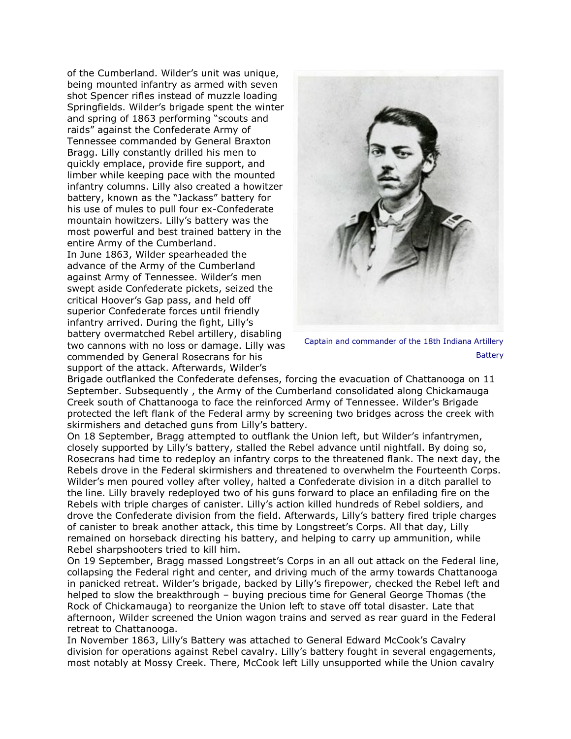of the Cumberland. Wilder's unit was unique, being mounted infantry as armed with seven shot Spencer rifles instead of muzzle loading Springfields. Wilder's brigade spent the winter and spring of 1863 performing "scouts and raids" against the Confederate Army of Tennessee commanded by General Braxton Bragg. Lilly constantly drilled his men to quickly emplace, provide fire support, and limber while keeping pace with the mounted infantry columns. Lilly also created a howitzer battery, known as the "Jackass" battery for his use of mules to pull four ex-Confederate mountain howitzers. Lilly's battery was the most powerful and best trained battery in the entire Army of the Cumberland. In June 1863, Wilder spearheaded the advance of the Army of the Cumberland against Army of Tennessee. Wilder's men swept aside Confederate pickets, seized the critical Hoover's Gap pass, and held off superior Confederate forces until friendly infantry arrived. During the fight, Lilly's battery overmatched Rebel artillery, disabling two cannons with no loss or damage. Lilly was commended by General Rosecrans for his support of the attack. Afterwards, Wilder's



Captain and commander of the 18th Indiana Artillery **Battery** 

Brigade outflanked the Confederate defenses, forcing the evacuation of Chattanooga on 11 September. Subsequently , the Army of the Cumberland consolidated along Chickamauga Creek south of Chattanooga to face the reinforced Army of Tennessee. Wilder's Brigade protected the left flank of the Federal army by screening two bridges across the creek with skirmishers and detached guns from Lilly's battery.

On 18 September, Bragg attempted to outflank the Union left, but Wilder's infantrymen, closely supported by Lilly's battery, stalled the Rebel advance until nightfall. By doing so, Rosecrans had time to redeploy an infantry corps to the threatened flank. The next day, the Rebels drove in the Federal skirmishers and threatened to overwhelm the Fourteenth Corps. Wilder's men poured volley after volley, halted a Confederate division in a ditch parallel to the line. Lilly bravely redeployed two of his guns forward to place an enfilading fire on the Rebels with triple charges of canister. Lilly's action killed hundreds of Rebel soldiers, and drove the Confederate division from the field. Afterwards, Lilly's battery fired triple charges of canister to break another attack, this time by Longstreet's Corps. All that day, Lilly remained on horseback directing his battery, and helping to carry up ammunition, while Rebel sharpshooters tried to kill him.

On 19 September, Bragg massed Longstreet's Corps in an all out attack on the Federal line, collapsing the Federal right and center, and driving much of the army towards Chattanooga in panicked retreat. Wilder's brigade, backed by Lilly's firepower, checked the Rebel left and helped to slow the breakthrough – buying precious time for General George Thomas (the Rock of Chickamauga) to reorganize the Union left to stave off total disaster. Late that afternoon, Wilder screened the Union wagon trains and served as rear guard in the Federal retreat to Chattanooga.

In November 1863, Lilly's Battery was attached to General Edward McCook's Cavalry division for operations against Rebel cavalry. Lilly's battery fought in several engagements, most notably at Mossy Creek. There, McCook left Lilly unsupported while the Union cavalry